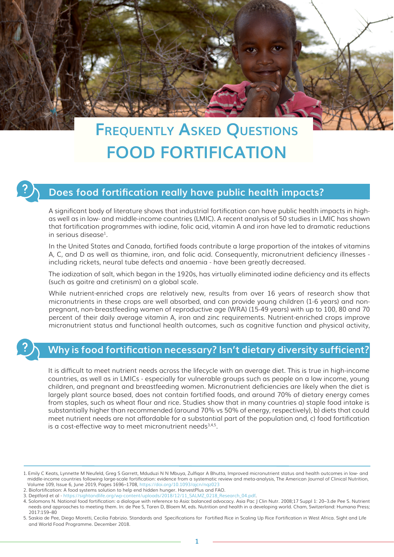

# **Frequently Asked Questions FOOD FORTIFICATION**

### **Does food fortification really have public health impacts?**

A significant body of literature shows that industrial fortification can have public health impacts in highas well as in low- and middle-income countries (LMIC). A recent analysis of 50 studies in LMIC has shown that fortification programmes with iodine, folic acid, vitamin A and iron have led to dramatic reductions in serious disease<sup>1</sup>.

In the United States and Canada, fortified foods contribute a large proportion of the intakes of vitamins A, C, and D as well as thiamine, iron, and folic acid. Consequently, micronutrient deficiency illnesses including rickets, neural tube defects and anaemia - have been greatly decreased.

The iodization of salt, which began in the 1920s, has virtually eliminated iodine deficiency and its effects (such as goitre and cretinism) on a global scale.

While nutrient-enriched crops are relatively new, results from over 16 years of research show that micronutrients in these crops are well absorbed, and can provide young children (1-6 years) and nonpregnant, non-breastfeeding women of reproductive age (WRA) (15-49 years) with up to 100, 80 and 70 percent of their daily average vitamin A, iron and zinc requirements. Nutrient-enriched crops improve micronutrient status and functional health outcomes, such as cognitive function and physical activity,

# **Why is food fortification necessary? Isn't dietary diversity sufficient?**

It is difficult to meet nutrient needs across the lifecycle with an average diet. This is true in high-income countries, as well as in LMICs - especially for vulnerable groups such as people on a low income, young children, and pregnant and breastfeeding women. Micronutrient deficiencies are likely when the diet is largely plant source based, does not contain fortified foods, and around 70% of dietary energy comes from staples, such as wheat flour and rice. Studies show that in many countries a) staple food intake is substantially higher than recommended (around 70% vs 50% of energy, respectively), b) diets that could meet nutrient needs are not affordable for a substantial part of the population and, c) food fortification is a cost-effective way to meet micronutrient needs $3,4,5$ .

3. Deptford et al - https://sightandlife.org/wp-content/uploads/2018/12/11\_SALMZ\_0218\_Research\_04.pdf.

<sup>1.</sup> Emily C Keats, Lynnette M Neufeld, Greg S Garrett, Mduduzi N N Mbuya, Zulfiqar A Bhutta, Improved micronutrient status and health outcomes in low- and middle-income countries following large-scale fortification: evidence from a systematic review and meta-analysis, The American Journal of Clinical Nutrition, Volume 109, Issue 6, June 2019, Pages 1696–1708, https://doi.org/10.1093/ajcn/nqz023

<sup>2.</sup> Biofortification: A food systems solution to help end hidden hunger. HarvestPlus and FAO.

<sup>4.</sup> Solomons N. National food fortification: a dialogue with reference to Asia: balanced advocacy. Asia Pac J Clin Nutr. 2008;17 Suppl 1: 20–3.de Pee S. Nutrient needs and approaches to meeting them. In: de Pee S, Taren D, Bloem M, eds. Nutrition and health in a developing world. Cham, Switzerland: Humana Press; 2017:159–80

<sup>5.</sup> Saskia de Pee, Diego Moretti, Cecilia Fabrizio. Standards and Specifications for Fortified Rice in Scaling Up Rice Fortification in West Africa. Sight and Life and World Food Programme. December 2018.